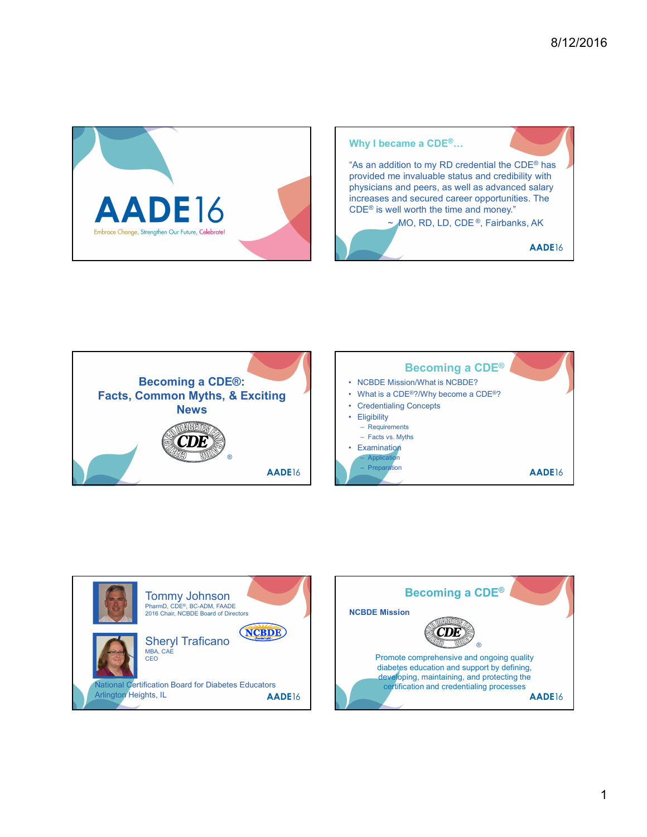







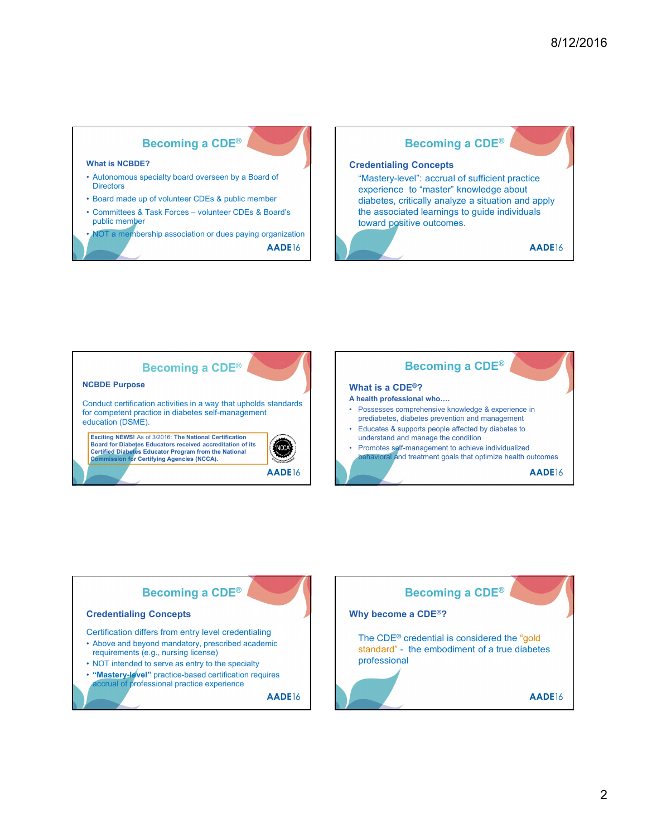





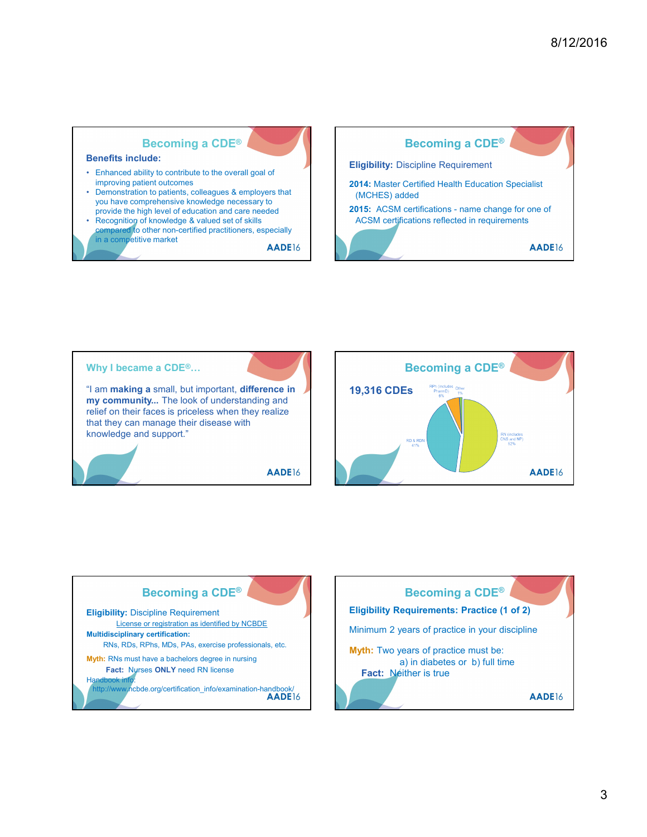





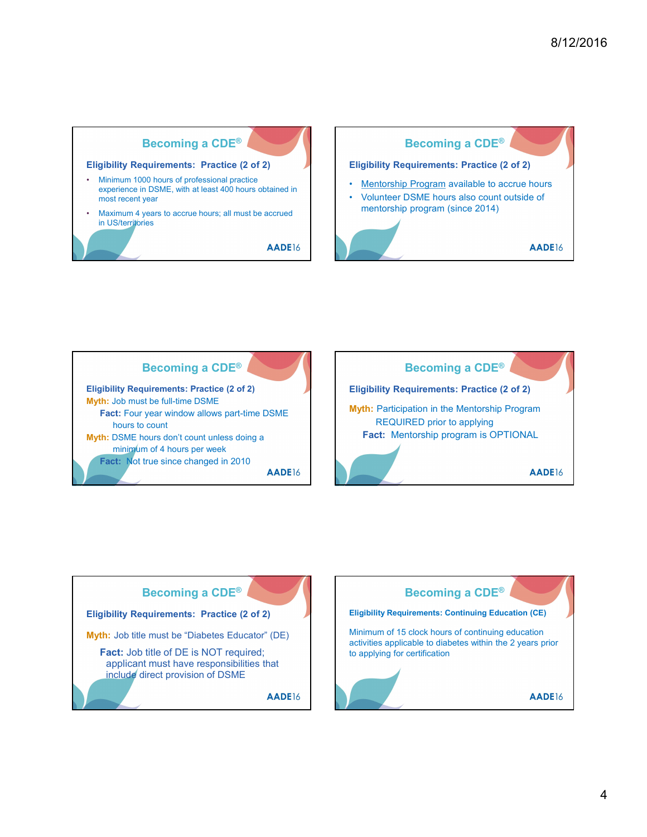







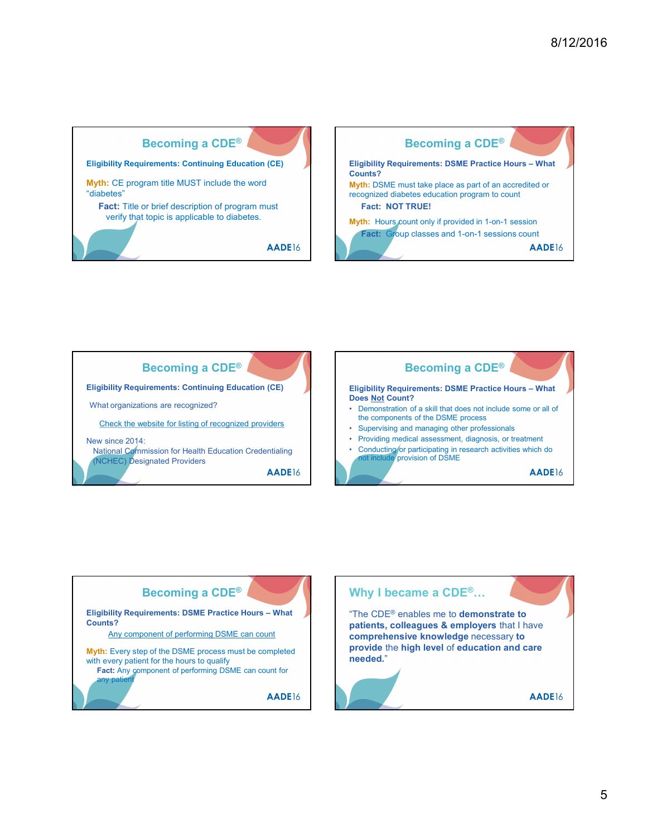





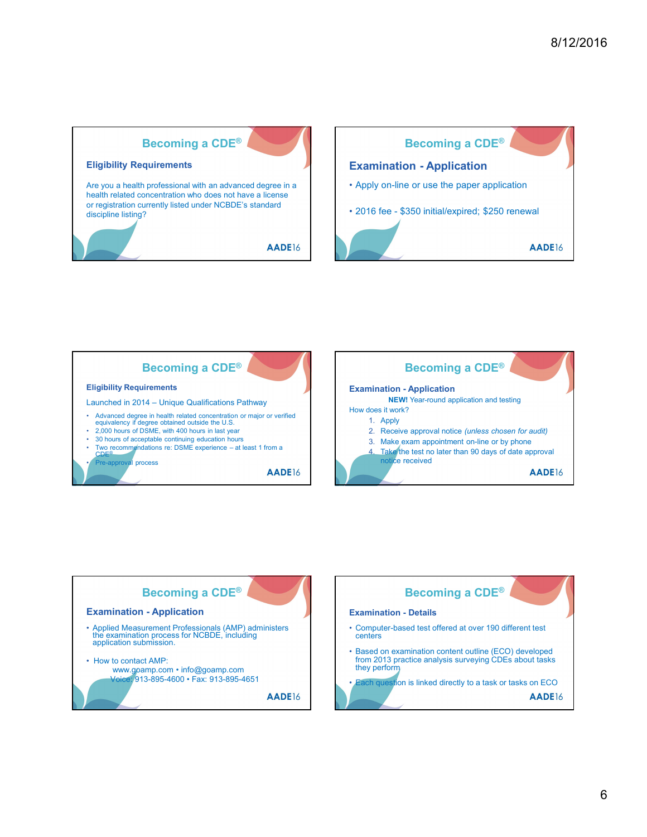





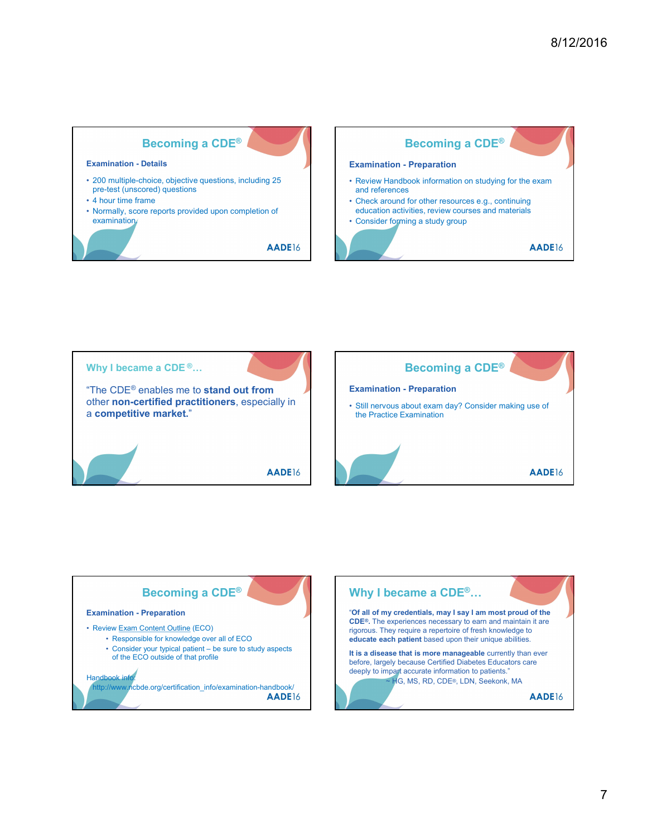